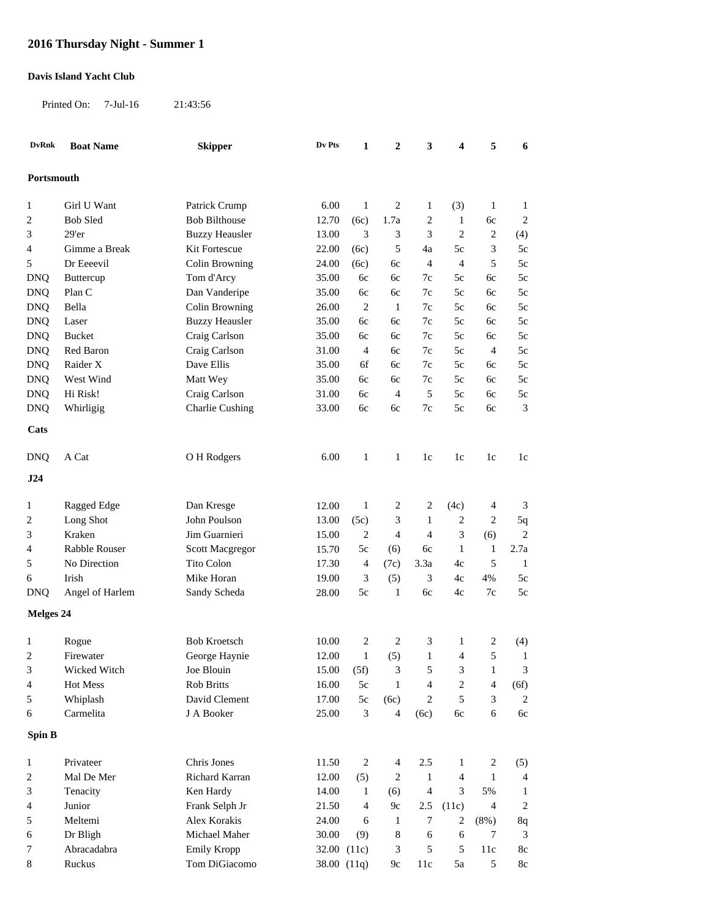## **2016 Thursday Night - Summer 1**

## **Davis Island Yacht Club**

Printed On: 7-Jul-16 21:43:56

| <b>DvRnk</b>     | <b>Boat Name</b> | <b>Skipper</b>         | Dv Pts | $\mathbf{1}$                | 2              | 3                        | 4              | 5            | 6                        |
|------------------|------------------|------------------------|--------|-----------------------------|----------------|--------------------------|----------------|--------------|--------------------------|
| Portsmouth       |                  |                        |        |                             |                |                          |                |              |                          |
|                  |                  |                        |        |                             |                |                          |                |              |                          |
| 1                | Girl U Want      | Patrick Crump          | 6.00   | $\mathbf{1}$                | 2              | 1                        | (3)            | $\mathbf{1}$ | $\mathbf{1}$             |
| $\overline{c}$   | <b>Bob Sled</b>  | <b>Bob Bilthouse</b>   | 12.70  | (6c)                        | 1.7a           | 2                        | $\mathbf{1}$   | 6c           | 2                        |
| 3                | 29'er            | <b>Buzzy Heausler</b>  | 13.00  | $\ensuremath{\mathfrak{Z}}$ | 3              | 3                        | $\overline{c}$ | 2            | (4)                      |
| 4                | Gimme a Break    | Kit Fortescue          | 22.00  | (6c)                        | 5              | 4a                       | 5c             | 3            | 5c                       |
| 5                | Dr Eeeevil       | Colin Browning         | 24.00  | (6c)                        | 6c             | 4                        | $\overline{4}$ | $\sqrt{5}$   | 5c                       |
| <b>DNQ</b>       | Buttercup        | Tom d'Arcy             | 35.00  | 6c                          | 6c             | 7c                       | 5c             | 6c           | 5c                       |
| <b>DNQ</b>       | Plan C           | Dan Vanderipe          | 35.00  | 6c                          | 6c             | 7c                       | 5c             | 6c           | 5c                       |
| <b>DNQ</b>       | Bella            | Colin Browning         | 26.00  | $\overline{c}$              | $\mathbf{1}$   | 7c                       | 5c             | 6c           | 5c                       |
| <b>DNQ</b>       | Laser            | <b>Buzzy Heausler</b>  | 35.00  | 6с                          | 6с             | 7c                       | 5c             | 6с           | 5c                       |
| <b>DNQ</b>       | <b>Bucket</b>    | Craig Carlson          | 35.00  | 6c                          | 6c             | 7c                       | 5c             | 6c           | 5c                       |
| <b>DNQ</b>       | Red Baron        | Craig Carlson          | 31.00  | 4                           | 6c             | 7c                       | 5c             | 4            | 5c                       |
| <b>DNQ</b>       | Raider X         | Dave Ellis             | 35.00  | 6f                          | 6c             | 7c                       | 5c             | 6с           | 5c                       |
| <b>DNQ</b>       | West Wind        | Matt Wey               | 35.00  | 6c                          | 6c             | 7c                       | 5c             | 6c           | 5c                       |
| <b>DNQ</b>       | Hi Risk!         | Craig Carlson          | 31.00  | 6c                          | $\overline{4}$ | 5                        | 5c             | 6c           | $5c$                     |
| <b>DNQ</b>       | Whirligig        | <b>Charlie Cushing</b> | 33.00  | 6c                          | 6c             | $7\mathrm{c}$            | 5c             | 6c           | 3                        |
| Cats             |                  |                        |        |                             |                |                          |                |              |                          |
| <b>DNQ</b>       | A Cat            | O H Rodgers            | 6.00   | $\mathbf{1}$                | $\mathbf{1}$   | 1c                       | 1c             | 1c           | 1c                       |
| J24              |                  |                        |        |                             |                |                          |                |              |                          |
| 1                | Ragged Edge      | Dan Kresge             | 12.00  | $\mathbf{1}$                | 2              | 2                        | (4c)           | 4            | 3                        |
| $\overline{c}$   | Long Shot        | John Poulson           | 13.00  | (5c)                        | 3              | $\mathbf{1}$             | 2              | 2            | 5q                       |
| 3                | Kraken           | Jim Guarnieri          | 15.00  | $\overline{2}$              | $\overline{4}$ | 4                        | $\mathfrak{Z}$ | (6)          | $\overline{c}$           |
| 4                | Rabble Rouser    | Scott Macgregor        | 15.70  | 5c                          | (6)            | 6c                       | $\mathbf{1}$   | 1            | 2.7a                     |
| 5                | No Direction     | Tito Colon             | 17.30  | 4                           | (7c)           | 3.3a                     | 4c             | 5            | $\mathbf{1}$             |
| 6                | Irish            | Mike Horan             | 19.00  | 3                           | (5)            | 3                        | 4c             | 4%           | 5c                       |
| <b>DNQ</b>       | Angel of Harlem  | Sandy Scheda           | 28.00  | $5c$                        | $\mathbf{1}$   | 6c                       | 4c             | 7c           | 5c                       |
| <b>Melges 24</b> |                  |                        |        |                             |                |                          |                |              |                          |
| 1                | Rogue            | <b>Bob Kroetsch</b>    | 10.00  | 2                           | 2              | 3                        | $\mathbf{1}$   | 2            | (4)                      |
| $\overline{c}$   | Firewater        | George Haynie          | 12.00  | $\mathbf{1}$                | (5)            | $\mathbf{1}$             | 4              | 5            | $\mathbf{1}$             |
| 3                | Wicked Witch     | Joe Blouin             | 15.00  | (5f)                        | 3              | 5                        | 3              | 1            | 3                        |
| 4                | Hot Mess         | Rob Britts             | 16.00  | 5c                          | $\mathbf{1}$   | 4                        | $\overline{c}$ | 4            | (6f)                     |
| 5                | Whiplash         | David Clement          | 17.00  | $5c$                        | (6c)           | 2                        | 5              | 3            | $\overline{2}$           |
| 6                | Carmelita        | J A Booker             | 25.00  | $\ensuremath{\mathfrak{Z}}$ | $\overline{4}$ | (6c)                     | 6c             | 6            | 6c                       |
| Spin B           |                  |                        |        |                             |                |                          |                |              |                          |
| $\mathbf{1}$     | Privateer        | Chris Jones            | 11.50  | $\overline{c}$              | 4              | 2.5                      | 1              | 2            | (5)                      |
| $\overline{c}$   | Mal De Mer       | Richard Karran         | 12.00  | (5)                         | 2              | $\mathbf{1}$             | 4              | $\mathbf{1}$ | $\overline{\mathcal{A}}$ |
| 3                | Tenacity         | Ken Hardy              | 14.00  | $\mathbf{1}$                | (6)            | $\overline{\mathcal{A}}$ | 3              | 5%           | $\mathbf{1}$             |
| 4                | Junior           | Frank Selph Jr         | 21.50  | $\overline{4}$              | 9c             | $2.5\,$                  | (11c)          | 4            | $\overline{c}$           |
| 5                | Meltemi          | Alex Korakis           | 24.00  | 6                           | 1              | 7                        | 2              | $(8\%)$      | 8q                       |
| 6                | Dr Bligh         | Michael Maher          | 30.00  | (9)                         | 8              | 6                        | 6              | 7            | 3                        |
| 7                | Abracadabra      | Emily Kropp            |        | 32.00 (11c)                 | 3              | 5                        | 5              | 11c          | 8c                       |
| 8                | Ruckus           | Tom DiGiacomo          |        | 38.00 (11q)                 | 9c             | 11c                      | 5a             | 5            | $8\mathrm{c}$            |
|                  |                  |                        |        |                             |                |                          |                |              |                          |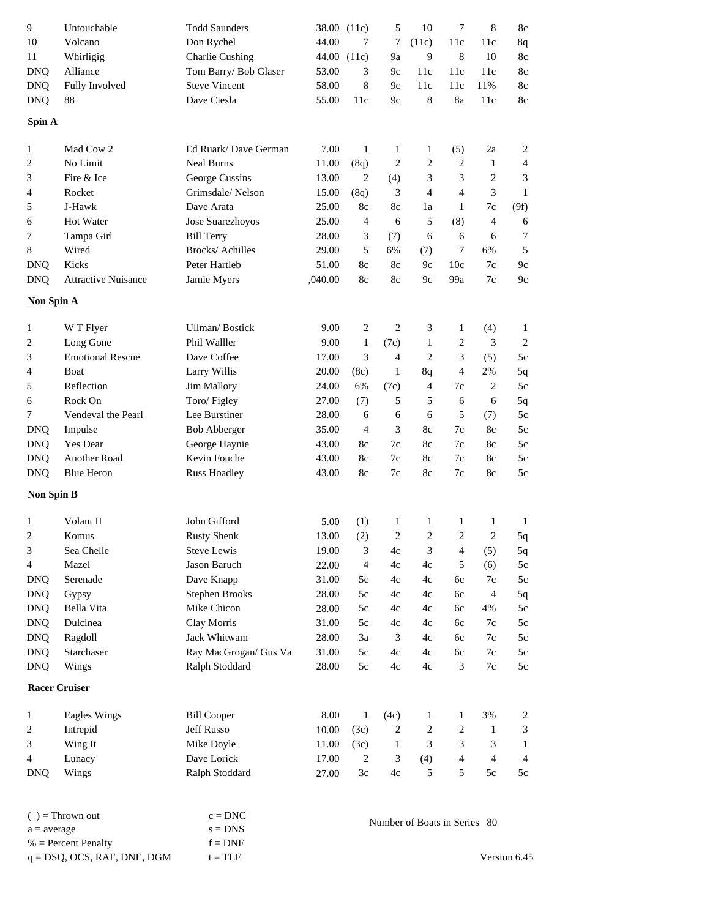| 9                 | Untouchable                | <b>Todd Saunders</b>                        |         | 38.00 (11c)    | 5              | 10                           | 7              | $\,8$          | 8c                       |
|-------------------|----------------------------|---------------------------------------------|---------|----------------|----------------|------------------------------|----------------|----------------|--------------------------|
| 10                | Volcano                    | Don Rychel                                  | 44.00   | 7              | 7              | (11c)                        | 11c            | 11c            | 8q                       |
| 11                | Whirligig                  | Charlie Cushing                             | 44.00   | (11c)          | 9a             | 9                            | 8              | 10             | 8c                       |
| <b>DNQ</b>        | Alliance                   | Tom Barry/ Bob Glaser                       | 53.00   | 3              | 9c             | 11c                          | 11c            | 11c            | 8c                       |
| <b>DNQ</b>        | Fully Involved             | <b>Steve Vincent</b>                        | 58.00   | 8              | 9c             | 11c                          | 11c            | 11%            | 8c                       |
| <b>DNQ</b>        | 88                         | Dave Ciesla                                 | 55.00   | 11c            | 9c             | 8                            | 8a             | 11c            | 8c                       |
| Spin A            |                            |                                             |         |                |                |                              |                |                |                          |
| 1                 | Mad Cow 2                  | Ed Ruark/Dave German                        | 7.00    | $\mathbf{1}$   | 1              | 1                            | (5)            | 2a             | 2                        |
| 2                 | No Limit                   | <b>Neal Burns</b>                           | 11.00   | (8q)           | $\overline{c}$ | 2                            | $\overline{c}$ | 1              | 4                        |
| 3                 | Fire & Ice                 | George Cussins                              | 13.00   | $\overline{2}$ | (4)            | 3                            | 3              | 2              | 3                        |
| 4                 | Rocket                     | Grimsdale/Nelson                            | 15.00   | (8q)           | 3              | 4                            | 4              | 3              | 1                        |
| 5                 | J-Hawk                     | Dave Arata                                  | 25.00   | 8c             | 8c             | 1a                           | 1              | 7c             | (9f)                     |
| 6                 | Hot Water                  | Jose Suarezhoyos                            | 25.00   | $\overline{4}$ | 6              | 5                            | (8)            | 4              | 6                        |
| 7                 | Tampa Girl                 | <b>Bill Terry</b>                           | 28.00   | 3              | (7)            | 6                            | 6              | 6              | 7                        |
| 8                 | Wired                      | <b>Brocks/Achilles</b>                      | 29.00   | 5              | 6%             | (7)                          | 7              | 6%             | 5                        |
| <b>DNQ</b>        | Kicks                      | Peter Hartleb                               | 51.00   | 8c             | 8c             | 9c                           | 10c            | 7c             | 9c                       |
| <b>DNQ</b>        | <b>Attractive Nuisance</b> | Jamie Myers                                 | ,040.00 | $8\mathrm{c}$  | 8c             | 9c                           | 99a            | 7c             | 9c                       |
| Non Spin A        |                            |                                             |         |                |                |                              |                |                |                          |
|                   |                            |                                             |         |                |                |                              |                |                |                          |
| 1                 | W T Flyer                  | <b>Ullman/Bostick</b>                       | 9.00    | $\overline{c}$ | $\overline{c}$ | 3                            | $\mathbf{1}$   | (4)            | 1                        |
| 2                 | Long Gone                  | Phil Walller                                | 9.00    | $\mathbf{1}$   | (7c)           | 1                            | 2              | 3              | 2                        |
| 3                 | <b>Emotional Rescue</b>    | Dave Coffee                                 | 17.00   | 3              | 4              | $\overline{2}$               | 3              | (5)            | 5c                       |
| 4                 | Boat                       | Larry Willis                                | 20.00   | (8c)           | 1              | 8q                           | 4              | 2%             | 5q                       |
| 5                 | Reflection                 | <b>Jim Mallory</b>                          | 24.00   | 6%             | (7c)           | 4                            | 7c             | 2              | 5c                       |
| 6                 | Rock On                    | Toro/Figley                                 | 27.00   | (7)            | 5              | 5                            | 6              | 6              | 5q                       |
| 7                 | Vendeval the Pearl         | Lee Burstiner                               | 28.00   | 6              | 6              | 6                            | 5              | (7)            | $5c$                     |
| <b>DNQ</b>        | Impulse                    | <b>Bob Abberger</b>                         | 35.00   | $\overline{4}$ | 3              | 8c                           | 7c             | 8c             | 5c                       |
| <b>DNQ</b>        | Yes Dear                   | George Haynie                               | 43.00   | 8c             | 7c             | 8c                           | 7c             | 8c             | 5c                       |
| <b>DNQ</b>        | Another Road               | Kevin Fouche                                | 43.00   | 8c             | 7c             | 8c                           | 7c             | 8c             | $5c$                     |
| <b>DNQ</b>        | <b>Blue Heron</b>          | <b>Russ Hoadley</b>                         | 43.00   | 8c             | 7c             | 8c                           | 7c             | 8c             | $5c$                     |
| <b>Non Spin B</b> |                            |                                             |         |                |                |                              |                |                |                          |
| 1                 | Volant II                  | John Gifford                                | 5.00    | (1)            | 1              | 1                            | 1              | 1              | $\mathbf{1}$             |
| 2                 | Komus                      | <b>Rusty Shenk</b>                          | 13.00   | (2)            | 2              | $\overline{2}$               | $\overline{2}$ | 2              | 5q                       |
| 3                 | Sea Chelle                 | <b>Steve Lewis</b>                          | 19.00   | 3              | 4c             | 3                            | 4              | (5)            | 5q                       |
| 4                 | Mazel                      | Jason Baruch                                | 22.00   | $\overline{4}$ | 4c             | 4c                           | 5              | (6)            | 5c                       |
| <b>DNQ</b>        | Serenade                   | Dave Knapp                                  | 31.00   | 5c             | 4c             | 4c                           | 6c             | 7c             | 5c                       |
| <b>DNQ</b>        | Gypsy                      | <b>Stephen Brooks</b>                       | 28.00   | 5c             | 4c             | 4c                           | 6c             | $\overline{4}$ | 5q                       |
| <b>DNQ</b>        | Bella Vita                 | Mike Chicon                                 | 28.00   | 5c             | 4c             | 4c                           | 6c             | 4%             | 5c                       |
| <b>DNQ</b>        | Dulcinea                   | Clay Morris                                 | 31.00   | 5c             | 4c             | 4c                           | 6c             | 7c             | 5c                       |
| <b>DNQ</b>        | Ragdoll                    | Jack Whitwam                                | 28.00   | 3a             | 3              | 4c                           | 6c             | 7c             | 5c                       |
| <b>DNQ</b>        | Starchaser                 | Ray MacGrogan/ Gus Va                       | 31.00   | 5c             | 4c             | 4c                           | 6c             | 7c             | 5c                       |
| DNQ               | Wings                      | Ralph Stoddard                              | 28.00   | 5c             | 4c             | 4c                           | 3              | $7\mathrm{c}$  | 5c                       |
|                   | <b>Racer Cruiser</b>       |                                             |         |                |                |                              |                |                |                          |
| 1                 | <b>Eagles Wings</b>        | <b>Bill Cooper</b>                          | 8.00    | 1              | (4c)           | 1                            | $\mathbf{1}$   | 3%             | $\overline{\mathbf{c}}$  |
| 2                 | Intrepid                   | Jeff Russo                                  | 10.00   | (3c)           | 2              | $\overline{\mathbf{c}}$      | 2              | 1              | 3                        |
| 3                 | Wing It                    | Mike Doyle                                  | 11.00   | (3c)           | $\mathbf{1}$   | 3                            | 3              | 3              | 1                        |
| 4                 | Lunacy                     | Dave Lorick                                 | 17.00   | $2\,$          | 3              | (4)                          | $\overline{4}$ | $\overline{4}$ | $\overline{\mathcal{A}}$ |
| <b>DNQ</b>        | Wings                      | Ralph Stoddard                              | 27.00   | $3\mathrm{c}$  | 4c             | 5                            | 5              | 5c             | 5c                       |
|                   |                            |                                             |         |                |                |                              |                |                |                          |
|                   | $( )$ = Thrown out         | $c = DNC$                                   |         |                |                |                              |                |                |                          |
| $a = average$     |                            | $\mathbf{s}=\mathbf{D}\mathbf{N}\mathbf{S}$ |         |                |                | Number of Boats in Series 80 |                |                |                          |

 $q = DSQ$ , OCS, RAF, DNE, DGM  $t = TLE$  $% =$  Percent Penalty  $f$ 

 $f = DNF$